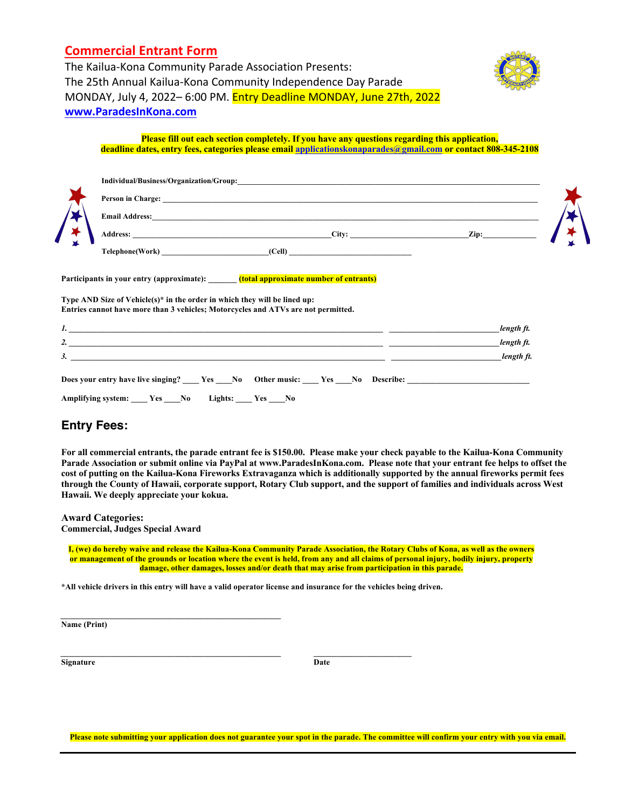## **Commercial Entrant Form**



The Kailua-Kona Community Parade Association Presents: The 25th Annual Kailua-Kona Community Independence Day Parade MONDAY, July 4, 2022– 6:00 PM. Entry Deadline MONDAY, June 27th, 2022 **www.ParadesInKona.com**

#### **Please fill out each section completely. If you have any questions regarding this application, deadline dates, entry fees, categories please email applicationskonaparades@gmail.com or contact 808-345-2108 Entry Deadline Wednesday, December 1st** or sooner if we reach our maximum number of

|                          | Individual/Business/Organization/Group:                                                    |       |      |  |
|--------------------------|--------------------------------------------------------------------------------------------|-------|------|--|
| $\overline{\phantom{a}}$ | Person in Charge:<br><b>Email Address:</b><br><b>Address:</b><br>Telephone(Work)<br>(Cell) | City: | Zip: |  |

**Participants in your entry (approximate): \_\_\_\_\_\_\_ (total approximate number of entrants)**

**Type AND Size of Vehicle(s)\* in the order in which they will be lined up: Entries cannot have more than 3 vehicles; Motorcycles and ATVs are not permitted.**

| $\mathbf{L}$                                                                                      | length ft. |  |  |  |  |
|---------------------------------------------------------------------------------------------------|------------|--|--|--|--|
| 2.                                                                                                | length ft. |  |  |  |  |
| 3.                                                                                                | length ft. |  |  |  |  |
| Does your entry have live singing? _____ Yes _____ No Other music: _____ Yes _____ No Describe: _ |            |  |  |  |  |
| Amplifying system: ____ Yes ____No<br>Lights: ____ Yes ____No                                     |            |  |  |  |  |

### **Entry Fees:**

**For all commercial entrants, the parade entrant fee is \$150.00. Please make your check payable to the Kailua-Kona Community**  Parade Association or submit online via PayPal at www.ParadesInKona.com. Please note that your entrant fee helps to offset the cost of putting on the Kailua-Kona Fireworks Extravaganza which is additionally supported by the annual fireworks permit fees through the County of Hawaii, corporate support, Rotary Club support, and the support of families and individuals across West **Hawaii. We deeply appreciate your kokua. Amount Submitted: \$\_\_\_\_\_\_\_\_\_ Make checks or money orders payable to: Kailua-Kona Community Parade Association**

#### **Award Categories: Commercial, Judges Special Award**

 $\mathcal{L}_\mathcal{L} = \{ \mathcal{L}_\mathcal{L} = \{ \mathcal{L}_\mathcal{L} = \{ \mathcal{L}_\mathcal{L} = \{ \mathcal{L}_\mathcal{L} = \{ \mathcal{L}_\mathcal{L} = \{ \mathcal{L}_\mathcal{L} = \{ \mathcal{L}_\mathcal{L} = \{ \mathcal{L}_\mathcal{L} = \{ \mathcal{L}_\mathcal{L} = \{ \mathcal{L}_\mathcal{L} = \{ \mathcal{L}_\mathcal{L} = \{ \mathcal{L}_\mathcal{L} = \{ \mathcal{L}_\mathcal{L} = \{ \mathcal{L}_\mathcal{$ 

**I, (we) do hereby waive and release the Kailua-Kona Community Parade Association, the Rotary Clubs of Kona, as well as the owners or management of the grounds or location where the event is held, from any and all claims of personal injury, bodily injury, property damage, other damages, losses and/or death that may arise from participation in this parade.**

**\*All vehicle drivers in this entry will have a valid operator license and insurance for the vehicles being driven.**

**Name (Print)**

**Signature** Date

 $\mathcal{L} = \{ \mathcal{L} \mathcal{L} \mathcal{L} \mathcal{L} \mathcal{L} \mathcal{L} \mathcal{L} \mathcal{L} \mathcal{L} \mathcal{L} \mathcal{L} \mathcal{L} \mathcal{L} \mathcal{L} \mathcal{L} \mathcal{L} \mathcal{L} \mathcal{L} \mathcal{L} \mathcal{L} \mathcal{L} \mathcal{L} \mathcal{L} \mathcal{L} \mathcal{L} \mathcal{L} \mathcal{L} \mathcal{L} \mathcal{L} \mathcal{L} \mathcal{L} \mathcal{L} \mathcal{L} \mathcal{L} \mathcal{L} \$ 

**Please note submitting your application does not guarantee your spot in the parade. The committee will confirm your entry with you via email.**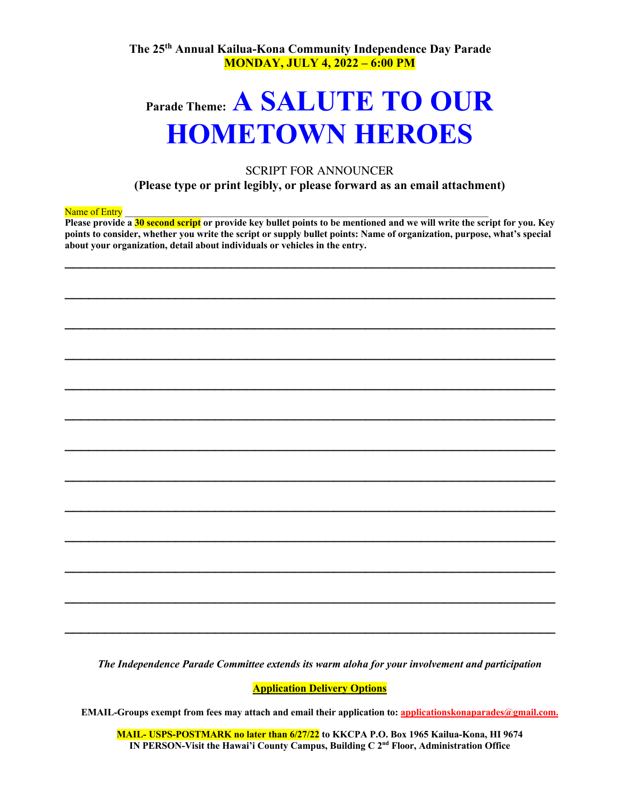**The 25th Annual Kailua-Kona Community Independence Day Parade MONDAY, JULY 4, 2022 – 6:00 PM**

# **Parade Theme: A SALUTE TO OUR HOMETOWN HEROES**

### SCRIPT FOR ANNOUNCER **(Please type or print legibly, or please forward as an email attachment)**

#### Name of Entry

**Please provide a 30 second script or provide key bullet points to be mentioned and we will write the script for you. Key points to consider, whether you write the script or supply bullet points: Name of organization, purpose, what's special about your organization, detail about individuals or vehicles in the entry.**

**\_\_\_\_\_\_\_\_\_\_\_\_\_\_\_\_\_\_\_\_\_\_\_\_\_\_\_\_\_\_\_\_\_\_\_\_\_\_\_\_\_\_\_\_\_\_\_\_\_\_\_\_\_\_\_\_\_\_\_\_\_\_** 

**\_\_\_\_\_\_\_\_\_\_\_\_\_\_\_\_\_\_\_\_\_\_\_\_\_\_\_\_\_\_\_\_\_\_\_\_\_\_\_\_\_\_\_\_\_\_\_\_\_\_\_\_\_\_\_\_\_\_\_\_\_\_** 

**\_\_\_\_\_\_\_\_\_\_\_\_\_\_\_\_\_\_\_\_\_\_\_\_\_\_\_\_\_\_\_\_\_\_\_\_\_\_\_\_\_\_\_\_\_\_\_\_\_\_\_\_\_\_\_\_\_\_\_\_\_\_** 

**\_\_\_\_\_\_\_\_\_\_\_\_\_\_\_\_\_\_\_\_\_\_\_\_\_\_\_\_\_\_\_\_\_\_\_\_\_\_\_\_\_\_\_\_\_\_\_\_\_\_\_\_\_\_\_\_\_\_\_\_\_\_** 

**\_\_\_\_\_\_\_\_\_\_\_\_\_\_\_\_\_\_\_\_\_\_\_\_\_\_\_\_\_\_\_\_\_\_\_\_\_\_\_\_\_\_\_\_\_\_\_\_\_\_\_\_\_\_\_\_\_\_\_\_\_\_** 

**\_\_\_\_\_\_\_\_\_\_\_\_\_\_\_\_\_\_\_\_\_\_\_\_\_\_\_\_\_\_\_\_\_\_\_\_\_\_\_\_\_\_\_\_\_\_\_\_\_\_\_\_\_\_\_\_\_\_\_\_\_\_** 

**\_\_\_\_\_\_\_\_\_\_\_\_\_\_\_\_\_\_\_\_\_\_\_\_\_\_\_\_\_\_\_\_\_\_\_\_\_\_\_\_\_\_\_\_\_\_\_\_\_\_\_\_\_\_\_\_\_\_\_\_\_\_** 

**\_\_\_\_\_\_\_\_\_\_\_\_\_\_\_\_\_\_\_\_\_\_\_\_\_\_\_\_\_\_\_\_\_\_\_\_\_\_\_\_\_\_\_\_\_\_\_\_\_\_\_\_\_\_\_\_\_\_\_\_\_\_** 

**\_\_\_\_\_\_\_\_\_\_\_\_\_\_\_\_\_\_\_\_\_\_\_\_\_\_\_\_\_\_\_\_\_\_\_\_\_\_\_\_\_\_\_\_\_\_\_\_\_\_\_\_\_\_\_\_\_\_\_\_\_\_** 

**\_\_\_\_\_\_\_\_\_\_\_\_\_\_\_\_\_\_\_\_\_\_\_\_\_\_\_\_\_\_\_\_\_\_\_\_\_\_\_\_\_\_\_\_\_\_\_\_\_\_\_\_\_\_\_\_\_\_\_\_\_\_** 

**\_\_\_\_\_\_\_\_\_\_\_\_\_\_\_\_\_\_\_\_\_\_\_\_\_\_\_\_\_\_\_\_\_\_\_\_\_\_\_\_\_\_\_\_\_\_\_\_\_\_\_\_\_\_\_\_\_\_\_\_\_\_** 

**\_\_\_\_\_\_\_\_\_\_\_\_\_\_\_\_\_\_\_\_\_\_\_\_\_\_\_\_\_\_\_\_\_\_\_\_\_\_\_\_\_\_\_\_\_\_\_\_\_\_\_\_\_\_\_\_\_\_\_\_\_\_** 

**\_\_\_\_\_\_\_\_\_\_\_\_\_\_\_\_\_\_\_\_\_\_\_\_\_\_\_\_\_\_\_\_\_\_\_\_\_\_\_\_\_\_\_\_\_\_\_\_\_\_\_\_\_\_\_\_\_\_\_\_\_\_**

*The Independence Parade Committee extends its warm aloha for your involvement and participation*

**Application Delivery Options**

**EMAIL-Groups exempt from fees may attach and email their application to: applicationskonaparades@gmail.com.** 

**MAIL- USPS-POSTMARK no later than 6/27/22 to KKCPA P.O. Box 1965 Kailua-Kona, HI 9674 IN PERSON-Visit the Hawai'i County Campus, Building C 2nd Floor, Administration Office**